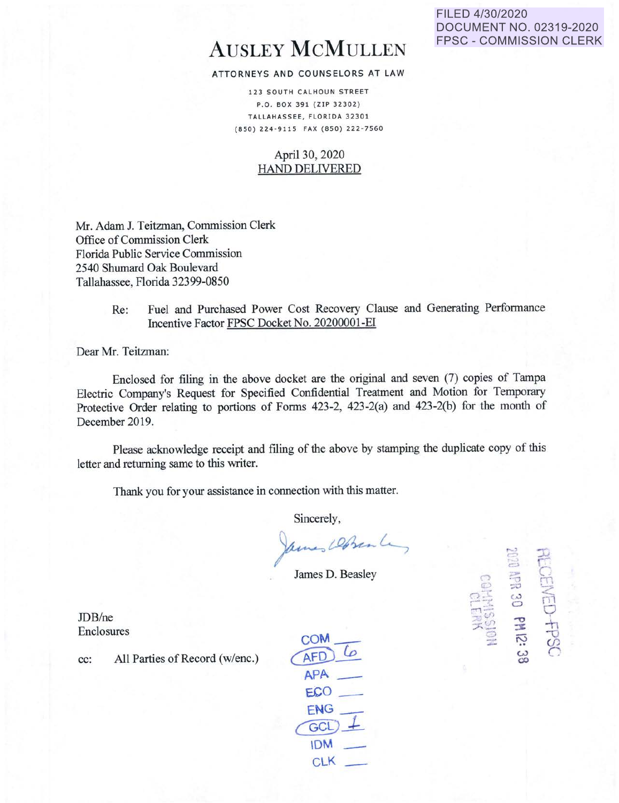# AUSLEY McMULLEN

#### ATTORNEYS AND COUNSELORS AT LAW

123 SOUTH CALHOUN STREET P.O . BOX 391 (ZIP 32302) TALLAHASSEE, FLORIDA 32301 (850 ) 224 · 9115 FAX ( 850) 222 · 7560

#### April 30, 2020 HAND DELIVERED

Mr. Adam J. Teitzman, Commission Clerk Office of Commission Clerk Florida Public Service Commission 2540 Shumard Oak Boulevard Tallahassee, Florida 32399-0850

> Re: Fuel and Purchased Power Cost Recovery Clause and Generating Performance Incentive Factor FPSC Docket No. 20200001-EI

Dear Mr. Teitzman:

Enclosed for filing in the above docket are the original and seven (7) copies of Tampa Electric Company's Request for Specified Confidential Treatment and Motion for Temporary Protective Order relating to portions of Forms 423-2, 423-2(a) and 423-2(b) for the month of December 2019.

Please acknowledge receipt and filing of the above by stamping the duplicate copy of this letter and returning same to this writer.

Thank you for your assistance in connection with this matter.

Sincerely,

ames Dosen La

James D. Beasley

JDB/ne Enclosures

cc: All Parties of Record (w/enc.)

coM \_\_ AFD<br>APA  $ECO$ **ENG** *c@l-\_*  IDM - CLK

FILED 4/30/2020 **DOCUMENT NO. 02319-2020 FPSC - COMMISSION CLERK** 

> n  $\ddot{\mathbb{P}}$  $\Xi$  $\nabla \psi$  $, \frac{1}{2}$  $\mathbb{R}^m$ -:::> -~

 $\mathbb{S}$ 

 $\mathbb{E}$  -  $\mathbb{E}$ 

 $\frac{1}{2}$   $\frac{1}{2}$  $\mathbb{E}$  is  $\mathbb{E}$ 

 $\frac{1}{2}$  $15 - 5$  $\frac{1}{2}$   $\frac{2}{3}$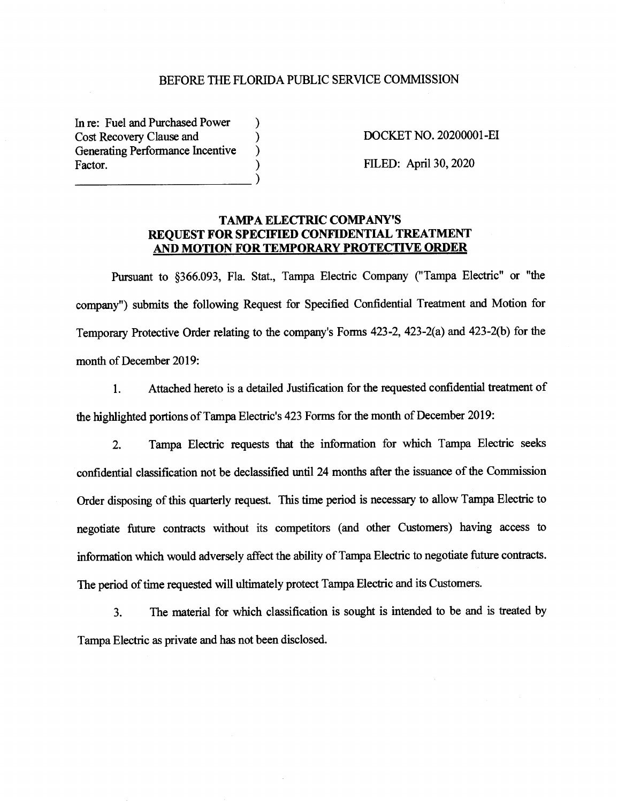#### BEFORE THE FLORIDA PUBLIC SERVICE COMMISSION

In re: Fuel and Purchased Power Cost Recovery Clause and () Generating Performance Incentive (b) Factor.  $\frac{1}{2}$ 

DOCKET NO. 20200001-EI

FILED: April 30, 2020

#### **TAMP A ELECTRIC COMP ANY'S REQUEST FOR SPECIFIED CONFIDENTIAL TREATMENT AND MOTION FOR TEMPORARY PROTECTIVE ORDER**

Pursuant to §366.093, Fla. Stat., Tampa Electric Company ("Tampa Electric" or "the company") submits the following Request for Specified Confidential Treatment and Motion for Temporary Protective Order relating to the company's Forms 423-2, 423-2(a) and 423-2(b) for the month of December 2019:

1. Attached hereto is a detailed Justification for the requested confidential treatment of the highlighted portions of Tampa Electric's 423 Forms for the month of December 2019:

2. Tampa Electric requests that the information for which Tampa Electric seeks confidential classification not be declassified until 24 months after the issuance of the Commission Order disposing of this quarterly request. This time period is necessary to allow Tampa Electric to negotiate future contracts without its competitors ( and other Customers) having access to information which would adversely affect the ability of Tampa Electric to negotiate future contracts. The period of time requested will ultimately protect Tampa Electric and its Customers.

3. The material for which classification is sought is intended to be and is treated by Tampa Electric as private and has not been disclosed.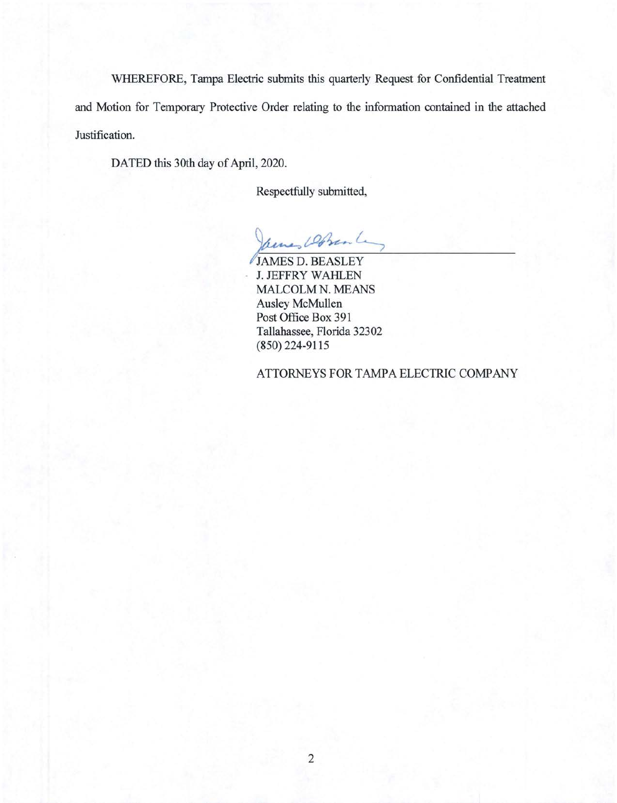WHEREFORE, Tampa Electric submits this quarterly Request for Confidential Treatment and Motion for Temporary Protective Order relating to the information contained in the attached Justification.

DATED this 30th day of April, 2020.

Respectfully submitted,

Armes Dobran L

JAMES D. BEASLEY J. JEFFRY WAHLEN MALCOLM N. MEANS Ausley McMullen Post Office Box 391 Tallahassee, Florida 32302 (850) 224-9115

ATTORNEYS FOR TAMPA ELECTRIC COMPANY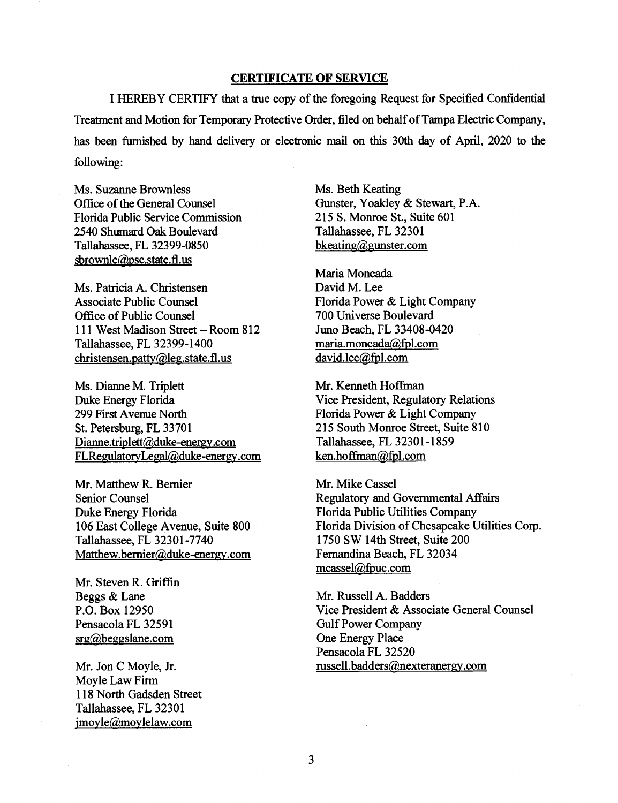#### **CERTIFICATE OF SERVICE**

I HEREBY CERTIFY that a true copy of the foregoing Request for Specified Confidential Treatment and Motion for Temporary Protective Order, filed on behalf of Tampa Electric Company, has been furnished by hand delivery or electronic mail on this 30th day of April, 2020 to the following:

Ms. Suzanne Brownless Office of the General Counsel Florida Public Service Commission 2540 Shumard Oak Boulevard Tallahassee, FL 32399-0850 sbrownle@psc.state.fl.us

Ms. Patricia A. Christensen Associate Public Counsel Office of Public Counsel 111 West Madison Street-Room 812 Tallahassee, FL 32399-1400 christensen.patty@leg.state.fl.us

Ms. Dianne M. Triplett Duke Energy Florida 299 First Avenue North St. Petersburg, FL 33701 Dianne.triplett@duke-energy.com FLRegulatoryLegal@duke-energy.com

Mr. Matthew R. Bernier Senior Counsel Duke Energy Florida 106 East College A venue, Suite 800 Tallahassee, FL 32301-7740 Matthew.bemier@duke-energy.com

Mr. Steven R. Griffin Beggs & Lane P.O. Box 12950 Pensacola FL 32591 srg@beggslane.com

Mr. Jon C Moyle, Jr. Moyle Law Firm 118 North Gadsden Street Tallahassee, FL 32301 jmoyle@moylelaw.com

Ms. Beth Keating Gunster, Yoakley & Stewart, P.A. 215 S. Monroe St., Suite 601 Tallahassee, FL 32301 bkeating@gunster.com

Maria Moncada David M. Lee Florida Power & Light Company 700 Universe Boulevard Juno Beach, FL 33408-0420 maria.moncada@fpl.com david.lee@fpl.com

Mr. Kenneth Hoffman Vice President, Regulatory Relations Florida Power & Light Company 215 South Monroe Street, Suite 810 Tallahassee, FL 32301-1859 ken.hoffinan@fpl.com

Mr. Mike Cassel Regulatory and Governmental Affairs Florida Public Utilities Company Florida Division of Chesapeake Utilities Corp. 1750 SW 14th Street, Suite 200 Fernandina Beach, FL 32034 mcassel@fpuc.com

Mr. Russell A. Badders Vice President & Associate General Counsel Gulf Power Company One Energy Place Pensacola FL 32520 russell.badders@nexteranergy.com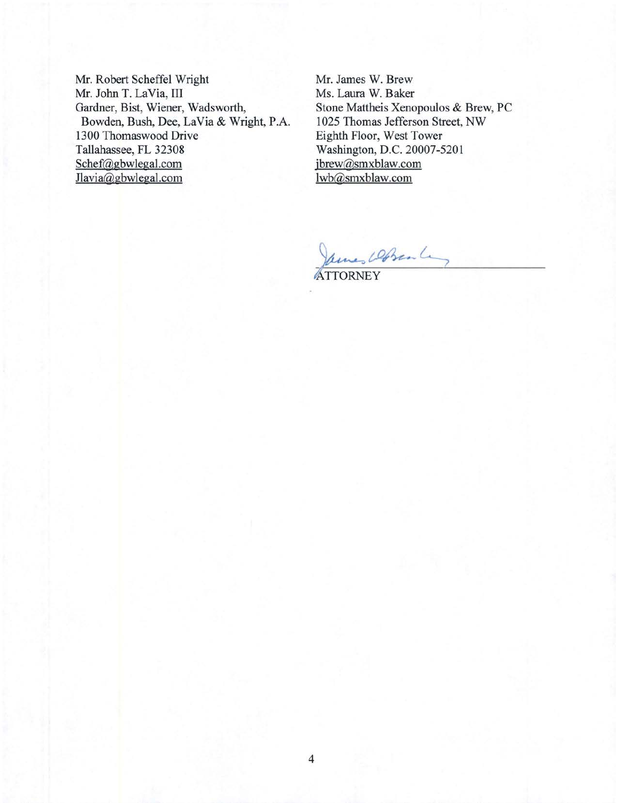Mr. Robert Scheffel Wright Mr. John T. LaVia, III Gardner, Bist, Wiener, Wadsworth, Bowden, Bush, Dee, La Via & Wright, P.A. 1300 Thomaswood Drive Tallahassee, FL 32308 Schef@gbwlegal.com Jlavia@gbwlegal.com

Mr. James W. Brew Ms. Laura W. Baker Stone Mattheis Xenopoulos & Brew, PC 1025 Thomas Jefferson Street, NW Eighth Floor, West Tower Washington, D.C. 20007-5201 jbrew@smxblaw.com lwb@smxblaw.com

Ames Domale

**ATTORNEY**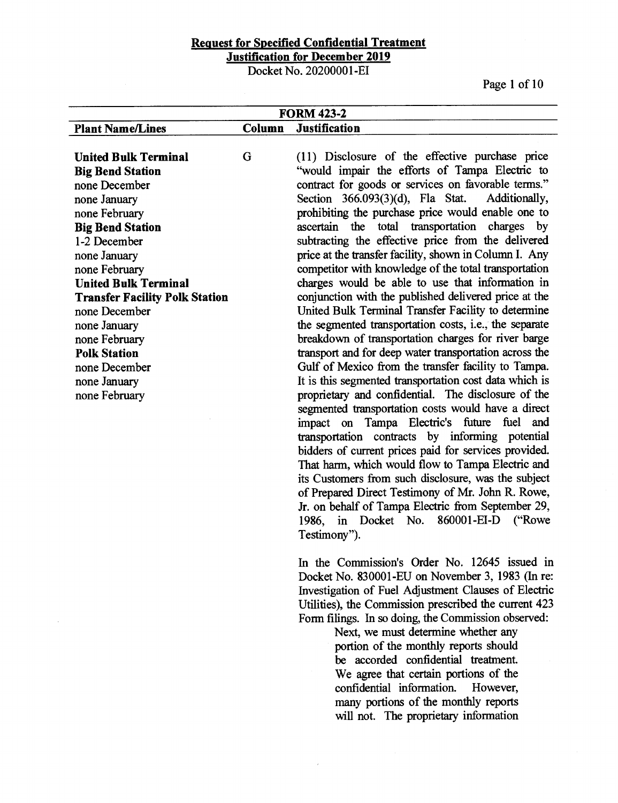Docket No. 20200001-EI

Page 1 of 10

| <b>FORM 423-2</b>                                                                                                                                                                    |        |                                                                                                                                                                                                                                                                                                                                                                                                                                                                                                                                                                                                                                                                                                                                                                                                                                                                                                                                                                     |  |
|--------------------------------------------------------------------------------------------------------------------------------------------------------------------------------------|--------|---------------------------------------------------------------------------------------------------------------------------------------------------------------------------------------------------------------------------------------------------------------------------------------------------------------------------------------------------------------------------------------------------------------------------------------------------------------------------------------------------------------------------------------------------------------------------------------------------------------------------------------------------------------------------------------------------------------------------------------------------------------------------------------------------------------------------------------------------------------------------------------------------------------------------------------------------------------------|--|
| <b>Plant Name/Lines</b>                                                                                                                                                              | Column | <b>Justification</b>                                                                                                                                                                                                                                                                                                                                                                                                                                                                                                                                                                                                                                                                                                                                                                                                                                                                                                                                                |  |
| <b>United Bulk Terminal</b><br><b>Big Bend Station</b><br>none December<br>none January<br>none February<br><b>Big Bend Station</b><br>1-2 December<br>none January<br>none February | G      | (11) Disclosure of the effective purchase price<br>"would impair the efforts of Tampa Electric to<br>contract for goods or services on favorable terms."<br>Section 366.093(3)(d), Fla Stat.<br>Additionally,<br>prohibiting the purchase price would enable one to<br>ascertain the total transportation charges by<br>subtracting the effective price from the delivered<br>price at the transfer facility, shown in Column I. Any<br>competitor with knowledge of the total transportation                                                                                                                                                                                                                                                                                                                                                                                                                                                                       |  |
| <b>United Bulk Terminal</b>                                                                                                                                                          |        | charges would be able to use that information in                                                                                                                                                                                                                                                                                                                                                                                                                                                                                                                                                                                                                                                                                                                                                                                                                                                                                                                    |  |
| <b>Transfer Facility Polk Station</b><br>none December<br>none January<br>none February<br><b>Polk Station</b><br>none December<br>none January<br>none February                     |        | conjunction with the published delivered price at the<br>United Bulk Terminal Transfer Facility to determine<br>the segmented transportation costs, i.e., the separate<br>breakdown of transportation charges for river barge<br>transport and for deep water transportation across the<br>Gulf of Mexico from the transfer facility to Tampa.<br>It is this segmented transportation cost data which is<br>proprietary and confidential. The disclosure of the<br>segmented transportation costs would have a direct<br>impact on Tampa Electric's future fuel and<br>transportation contracts by informing potential<br>bidders of current prices paid for services provided.<br>That harm, which would flow to Tampa Electric and<br>its Customers from such disclosure, was the subject<br>of Prepared Direct Testimony of Mr. John R. Rowe,<br>Jr. on behalf of Tampa Electric from September 29,<br>in Docket No. 860001-EI-D ("Rowe<br>1986,<br>Testimony"). |  |
|                                                                                                                                                                                      |        | In the Commission's Order No. 12645 issued in<br>Docket No. 830001-EU on November 3, 1983 (In re:<br>Investigation of Fuel Adjustment Clauses of Electric<br>Utilities), the Commission prescribed the current 423                                                                                                                                                                                                                                                                                                                                                                                                                                                                                                                                                                                                                                                                                                                                                  |  |

Next, we must determine whether any portion of the monthly reports should be accorded confidential treatment. We agree that certain portions of the confidential information. However, many portions of the monthly reports will not. The proprietary information

Form filings. In so doing, the Commission observed: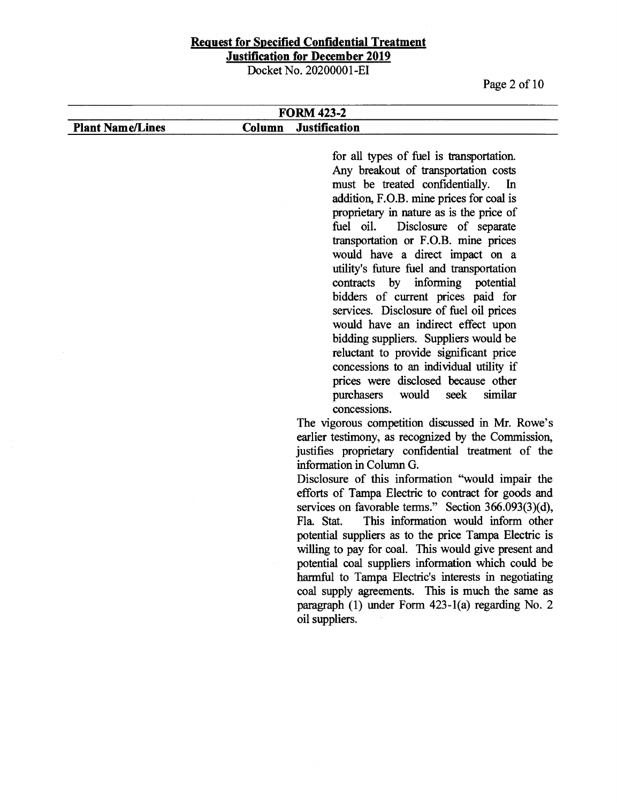Docket No. 20200001-EI

Page 2 of 10

#### **Plant Name/Lines FORM423-2 Column Justification**

for all types of fuel is transportation. Any breakout of transportation costs must be treated confidentially. In addition, F.O.B. mine prices for coal is proprietary in nature as is the price of fuel oil. Disclosure of separate transportation or F.O.B. mine prices would have a direct impact on a utility's future fuel and transportation contracts by informing potential bidders of current prices paid for services. Disclosure of fuel oil prices would have an indirect effect upon bidding suppliers. Suppliers would be reluctant to provide significant price concessions to an individual utility if prices were disclosed because other purchasers would seek similar concessions.

The vigorous competition discussed in Mr. Rowe's earlier testimony, as recognized by the Commission, justifies proprietary confidential treatment of the information in Column G.

Disclosure of this information ''would impair the efforts of Tampa Electric to contract for goods and services on favorable terms." Section 366.093(3)(d), Fla Stat. This information would inform other potential suppliers as to the price Tampa Electric is willing to pay for coal. This would give present and potential coal suppliers information which could be harmful to Tampa Electric's interests in negotiating coal supply agreements. This is much the same as paragraph (1) under Form 423-l(a) regarding No. 2 oil suppliers.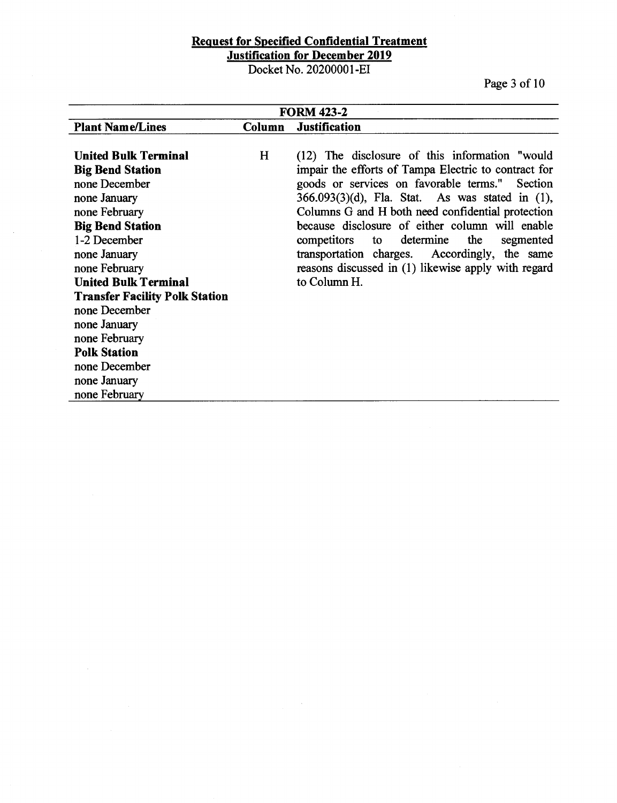Docket No. 20200001-EI

Page 3 of IO

| <b>FORM 423-2</b>                     |        |                                                       |  |
|---------------------------------------|--------|-------------------------------------------------------|--|
| <b>Plant Name/Lines</b>               | Column | <b>Justification</b>                                  |  |
|                                       |        |                                                       |  |
| <b>United Bulk Terminal</b>           | H      | (12) The disclosure of this information "would        |  |
| <b>Big Bend Station</b>               |        | impair the efforts of Tampa Electric to contract for  |  |
| none December                         |        | goods or services on favorable terms." Section        |  |
| none January                          |        | $366.093(3)(d)$ , Fla. Stat. As was stated in $(1)$ , |  |
| none February                         |        | Columns G and H both need confidential protection     |  |
| <b>Big Bend Station</b>               |        | because disclosure of either column will enable       |  |
| 1-2 December                          |        | to determine<br>the<br>competitors<br>segmented       |  |
| none January                          |        | transportation charges. Accordingly, the same         |  |
| none February                         |        | reasons discussed in (1) likewise apply with regard   |  |
| <b>United Bulk Terminal</b>           |        | to Column H.                                          |  |
| <b>Transfer Facility Polk Station</b> |        |                                                       |  |
| none December                         |        |                                                       |  |
| none January                          |        |                                                       |  |
| none February                         |        |                                                       |  |
| <b>Polk Station</b>                   |        |                                                       |  |
| none December                         |        |                                                       |  |
| none January                          |        |                                                       |  |
| none February                         |        |                                                       |  |

 $\mathcal{A}^{\mathcal{A}}$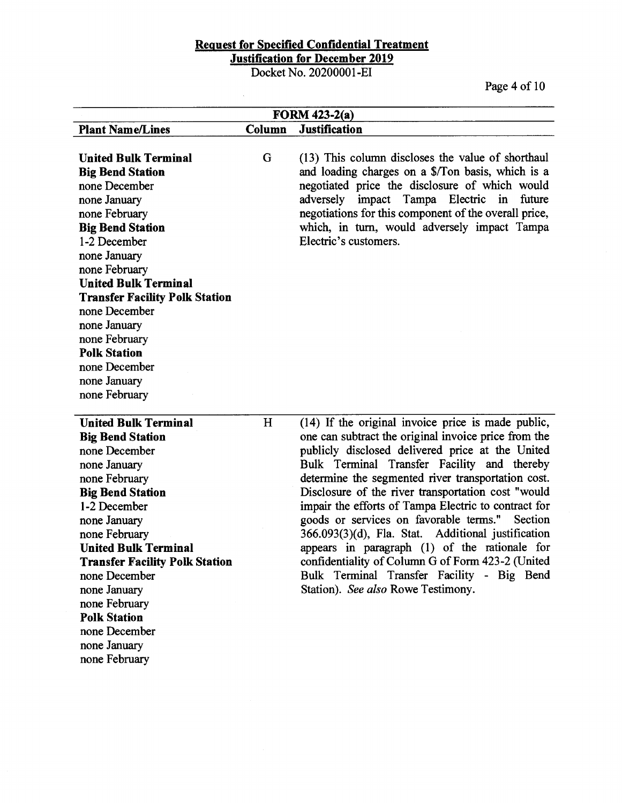# **Request for Specified Confidential Treatment**

**Justification for December 2019** 

Docket No. 20200001-EI

 $\mathcal{L}_{\text{max}}$ 

Page 4 of 10

| FORM $423-2(a)$                       |        |                                                       |  |
|---------------------------------------|--------|-------------------------------------------------------|--|
| <b>Plant Name/Lines</b>               | Column | <b>Justification</b>                                  |  |
|                                       |        |                                                       |  |
| <b>United Bulk Terminal</b>           | G      | (13) This column discloses the value of shorthaul     |  |
| <b>Big Bend Station</b>               |        | and loading charges on a \$/Ton basis, which is a     |  |
| none December                         |        | negotiated price the disclosure of which would        |  |
| none January                          |        | impact Tampa Electric in<br>adversely<br>future       |  |
| none February                         |        | negotiations for this component of the overall price, |  |
| <b>Big Bend Station</b>               |        | which, in turn, would adversely impact Tampa          |  |
| 1-2 December                          |        | Electric's customers.                                 |  |
| none January                          |        |                                                       |  |
| none February                         |        |                                                       |  |
| <b>United Bulk Terminal</b>           |        |                                                       |  |
| <b>Transfer Facility Polk Station</b> |        |                                                       |  |
| none December                         |        |                                                       |  |
| none January                          |        |                                                       |  |
| none February                         |        |                                                       |  |
| <b>Polk Station</b>                   |        |                                                       |  |
| none December                         |        |                                                       |  |
| none January                          |        |                                                       |  |
| none February                         |        |                                                       |  |
|                                       |        |                                                       |  |
| <b>United Bulk Terminal</b>           | H      | (14) If the original invoice price is made public,    |  |
| <b>Big Bend Station</b>               |        | one can subtract the original invoice price from the  |  |
| none December                         |        | publicly disclosed delivered price at the United      |  |
| none January                          |        | Bulk Terminal Transfer Facility and thereby           |  |
| none February                         |        | determine the segmented river transportation cost.    |  |
| <b>Big Bend Station</b>               |        | Disclosure of the river transportation cost "would    |  |
| 1-2 December                          |        | impair the efforts of Tampa Electric to contract for  |  |
| none January                          |        | goods or services on favorable terms."<br>Section     |  |
| none February                         |        | 366.093(3)(d), Fla. Stat. Additional justification    |  |
| <b>United Bulk Terminal</b>           |        | appears in paragraph (1) of the rationale for         |  |
| <b>Transfer Facility Polk Station</b> |        | confidentiality of Column G of Form 423-2 (United     |  |
| none December                         |        | Bulk Terminal Transfer Facility - Big Bend            |  |
| none January                          |        | Station). See also Rowe Testimony.                    |  |
| none February                         |        |                                                       |  |
| <b>Polk Station</b>                   |        |                                                       |  |
| none December                         |        |                                                       |  |
| none January                          |        |                                                       |  |
| none February                         |        |                                                       |  |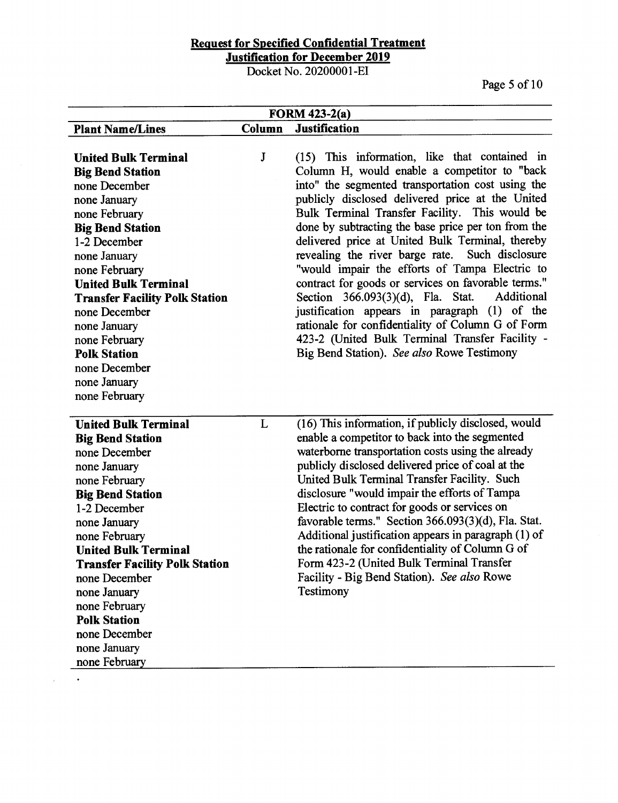Docket No. 20200001-EI

Page 5 of 10

| <b>FORM 423-2(a)</b>                                                                                                                                                                                                                                                                                                                                                                    |          |                                                                                                                                                                                                                                                                                                                                                                                                                                                                                                                                                                                                                                                                                                                                                                                           |  |
|-----------------------------------------------------------------------------------------------------------------------------------------------------------------------------------------------------------------------------------------------------------------------------------------------------------------------------------------------------------------------------------------|----------|-------------------------------------------------------------------------------------------------------------------------------------------------------------------------------------------------------------------------------------------------------------------------------------------------------------------------------------------------------------------------------------------------------------------------------------------------------------------------------------------------------------------------------------------------------------------------------------------------------------------------------------------------------------------------------------------------------------------------------------------------------------------------------------------|--|
| <b>Plant Name/Lines</b>                                                                                                                                                                                                                                                                                                                                                                 | Column   | <b>Justification</b>                                                                                                                                                                                                                                                                                                                                                                                                                                                                                                                                                                                                                                                                                                                                                                      |  |
| <b>United Bulk Terminal</b><br><b>Big Bend Station</b><br>none December<br>none January<br>none February<br><b>Big Bend Station</b><br>1-2 December<br>none January<br>none February<br><b>United Bulk Terminal</b><br><b>Transfer Facility Polk Station</b><br>none December<br>none January<br>none February<br><b>Polk Station</b><br>none December<br>none January<br>none February | $\bf{J}$ | (15) This information, like that contained in<br>Column H, would enable a competitor to "back<br>into" the segmented transportation cost using the<br>publicly disclosed delivered price at the United<br>Bulk Terminal Transfer Facility. This would be<br>done by subtracting the base price per ton from the<br>delivered price at United Bulk Terminal, thereby<br>revealing the river barge rate. Such disclosure<br>"would impair the efforts of Tampa Electric to<br>contract for goods or services on favorable terms."<br>Section 366.093(3)(d), Fla. Stat.<br>Additional<br>justification appears in paragraph (1) of the<br>rationale for confidentiality of Column G of Form<br>423-2 (United Bulk Terminal Transfer Facility -<br>Big Bend Station). See also Rowe Testimony |  |
| <b>United Bulk Terminal</b><br><b>Big Bend Station</b><br>none December<br>none January<br>none February<br><b>Big Bend Station</b><br>1-2 December<br>none January<br>none February<br><b>United Bulk Terminal</b><br><b>Transfer Facility Polk Station</b><br>none December<br>none January<br>none February<br><b>Polk Station</b><br>none December<br>none January<br>none February | L        | (16) This information, if publicly disclosed, would<br>enable a competitor to back into the segmented<br>waterborne transportation costs using the already<br>publicly disclosed delivered price of coal at the<br>United Bulk Terminal Transfer Facility. Such<br>disclosure "would impair the efforts of Tampa<br>Electric to contract for goods or services on<br>favorable terms." Section 366.093(3)(d), Fla. Stat.<br>Additional justification appears in paragraph (1) of<br>the rationale for confidentiality of Column G of<br>Form 423-2 (United Bulk Terminal Transfer<br>Facility - Big Bend Station). See also Rowe<br>Testimony                                                                                                                                             |  |

 $\sim$ 

 $\bar{\epsilon}$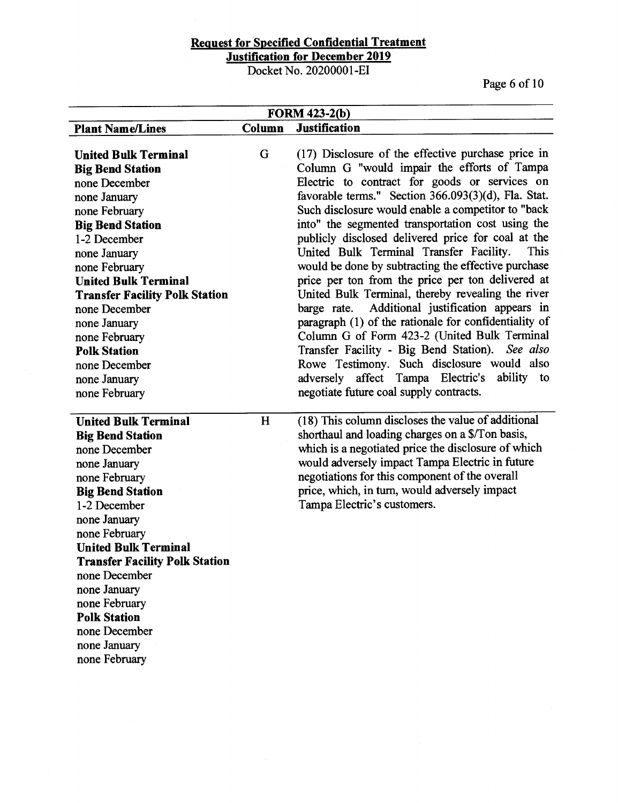Docket No. 20200001-EI

Page 6 of 10

| <b>FORM 423-2(b)</b>                                                                                                                                                                                                                                                                                                                                                                    |        |                                                                                                                                                                                                                                                                                                                                                                                                                                                                                                                                                                                                                                                                                                                                                                                                                                                                                                                                                           |  |
|-----------------------------------------------------------------------------------------------------------------------------------------------------------------------------------------------------------------------------------------------------------------------------------------------------------------------------------------------------------------------------------------|--------|-----------------------------------------------------------------------------------------------------------------------------------------------------------------------------------------------------------------------------------------------------------------------------------------------------------------------------------------------------------------------------------------------------------------------------------------------------------------------------------------------------------------------------------------------------------------------------------------------------------------------------------------------------------------------------------------------------------------------------------------------------------------------------------------------------------------------------------------------------------------------------------------------------------------------------------------------------------|--|
| <b>Plant Name/Lines</b>                                                                                                                                                                                                                                                                                                                                                                 | Column | <b>Justification</b>                                                                                                                                                                                                                                                                                                                                                                                                                                                                                                                                                                                                                                                                                                                                                                                                                                                                                                                                      |  |
| <b>United Bulk Terminal</b><br><b>Big Bend Station</b><br>none December<br>none January<br>none February<br><b>Big Bend Station</b><br>1-2 December<br>none January<br>none February<br><b>United Bulk Terminal</b><br><b>Transfer Facility Polk Station</b><br>none December<br>none January<br>none February<br><b>Polk Station</b><br>none December<br>none January<br>none February | G      | (17) Disclosure of the effective purchase price in<br>Column G "would impair the efforts of Tampa<br>Electric to contract for goods or services on<br>favorable terms." Section 366.093(3)(d), Fla. Stat.<br>Such disclosure would enable a competitor to "back<br>into" the segmented transportation cost using the<br>publicly disclosed delivered price for coal at the<br>United Bulk Terminal Transfer Facility.<br>This<br>would be done by subtracting the effective purchase<br>price per ton from the price per ton delivered at<br>United Bulk Terminal, thereby revealing the river<br>Additional justification appears in<br>barge rate.<br>paragraph (1) of the rationale for confidentiality of<br>Column G of Form 423-2 (United Bulk Terminal<br>Transfer Facility - Big Bend Station). See also<br>Rowe Testimony. Such disclosure would also<br>adversely affect Tampa Electric's ability to<br>negotiate future coal supply contracts. |  |
| <b>United Bulk Terminal</b><br><b>Big Bend Station</b><br>none December<br>none January<br>none February<br><b>Big Bend Station</b><br>1-2 December<br>none January<br>none February<br><b>United Bulk Terminal</b><br><b>Transfer Facility Polk Station</b><br>none December<br>none January<br>none February<br><b>Polk Station</b><br>none December<br>none January<br>none February | H      | (18) This column discloses the value of additional<br>shorthaul and loading charges on a \$/Ton basis,<br>which is a negotiated price the disclosure of which<br>would adversely impact Tampa Electric in future<br>negotiations for this component of the overall<br>price, which, in turn, would adversely impact<br>Tampa Electric's customers.                                                                                                                                                                                                                                                                                                                                                                                                                                                                                                                                                                                                        |  |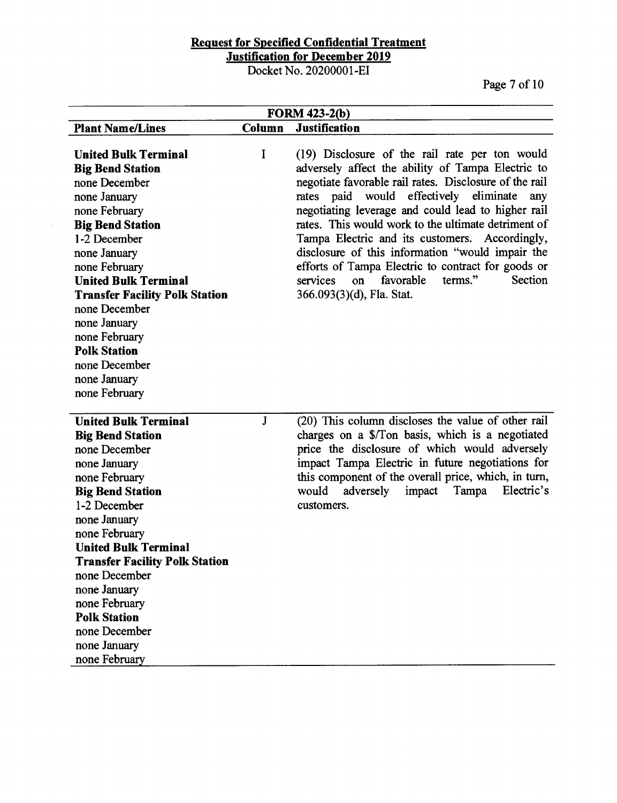Docket No. 20200001-EI

 $\hat{\mathcal{A}}$ 

Page 7 of 10

|                                       |              | <b>FORM 423-2(b)</b>                                   |
|---------------------------------------|--------------|--------------------------------------------------------|
| <b>Plant Name/Lines</b>               | Column       | <b>Justification</b>                                   |
|                                       |              |                                                        |
| <b>United Bulk Terminal</b>           | I            | (19) Disclosure of the rail rate per ton would         |
| <b>Big Bend Station</b>               |              | adversely affect the ability of Tampa Electric to      |
| none December                         |              | negotiate favorable rail rates. Disclosure of the rail |
| none January                          |              | would effectively eliminate<br>rates paid<br>any       |
| none February                         |              | negotiating leverage and could lead to higher rail     |
| <b>Big Bend Station</b>               |              | rates. This would work to the ultimate detriment of    |
| 1-2 December                          |              | Tampa Electric and its customers. Accordingly,         |
| none January                          |              | disclosure of this information "would impair the       |
| none February                         |              | efforts of Tampa Electric to contract for goods or     |
| <b>United Bulk Terminal</b>           |              | favorable<br>terms."<br>Section<br>services<br>on      |
| <b>Transfer Facility Polk Station</b> |              | 366.093(3)(d), Fla. Stat.                              |
| none December                         |              |                                                        |
| none January                          |              |                                                        |
| none February                         |              |                                                        |
| <b>Polk Station</b>                   |              |                                                        |
| none December                         |              |                                                        |
| none January                          |              |                                                        |
| none February                         |              |                                                        |
|                                       |              |                                                        |
| <b>United Bulk Terminal</b>           | $\mathbf{J}$ | (20) This column discloses the value of other rail     |
| <b>Big Bend Station</b>               |              | charges on a \$/Ton basis, which is a negotiated       |
| none December                         |              | price the disclosure of which would adversely          |
| none January                          |              | impact Tampa Electric in future negotiations for       |
| none February                         |              | this component of the overall price, which, in turn,   |
| <b>Big Bend Station</b>               |              | Tampa<br>would<br>adversely<br>impact<br>Electric's    |
| 1-2 December                          |              | customers.                                             |
| none January                          |              |                                                        |
| none February                         |              |                                                        |
| <b>United Bulk Terminal</b>           |              |                                                        |
| <b>Transfer Facility Polk Station</b> |              |                                                        |
| none December                         |              |                                                        |
| none January                          |              |                                                        |
| none February                         |              |                                                        |
| <b>Polk Station</b>                   |              |                                                        |
| none December                         |              |                                                        |
| none January                          |              |                                                        |
| none February                         |              |                                                        |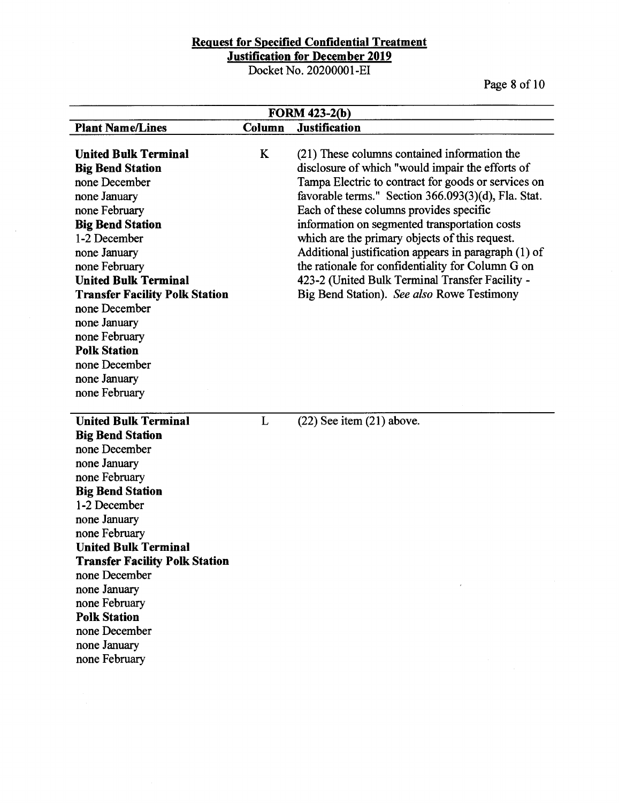Docket No. 20200001-EI

 $\mathcal{A}^{\mathcal{A}}$ 

Page 8 of 10

| <b>FORM 423-2(b)</b>                                                                                                                                                                                                                                                                                                                                                                    |        |                                                                                                                                                                                                                                                                                                                                                                                                                                                                                                                                                                            |
|-----------------------------------------------------------------------------------------------------------------------------------------------------------------------------------------------------------------------------------------------------------------------------------------------------------------------------------------------------------------------------------------|--------|----------------------------------------------------------------------------------------------------------------------------------------------------------------------------------------------------------------------------------------------------------------------------------------------------------------------------------------------------------------------------------------------------------------------------------------------------------------------------------------------------------------------------------------------------------------------------|
| <b>Plant Name/Lines</b>                                                                                                                                                                                                                                                                                                                                                                 | Column | <b>Justification</b>                                                                                                                                                                                                                                                                                                                                                                                                                                                                                                                                                       |
| <b>United Bulk Terminal</b><br><b>Big Bend Station</b><br>none December<br>none January<br>none February<br><b>Big Bend Station</b><br>1-2 December<br>none January<br>none February<br><b>United Bulk Terminal</b><br><b>Transfer Facility Polk Station</b><br>none December<br>none January<br>none February<br><b>Polk Station</b><br>none December<br>none January<br>none February | K      | (21) These columns contained information the<br>disclosure of which "would impair the efforts of<br>Tampa Electric to contract for goods or services on<br>favorable terms." Section 366.093(3)(d), Fla. Stat.<br>Each of these columns provides specific<br>information on segmented transportation costs<br>which are the primary objects of this request.<br>Additional justification appears in paragraph (1) of<br>the rationale for confidentiality for Column G on<br>423-2 (United Bulk Terminal Transfer Facility -<br>Big Bend Station). See also Rowe Testimony |
| <b>United Bulk Terminal</b><br><b>Big Bend Station</b><br>none December<br>none January<br>none February<br><b>Big Bend Station</b><br>1-2 December<br>none January<br>none February<br><b>United Bulk Terminal</b><br><b>Transfer Facility Polk Station</b><br>none December<br>none January<br>none February<br><b>Polk Station</b><br>none December<br>none January<br>none February | L      | $(22)$ See item $(21)$ above.                                                                                                                                                                                                                                                                                                                                                                                                                                                                                                                                              |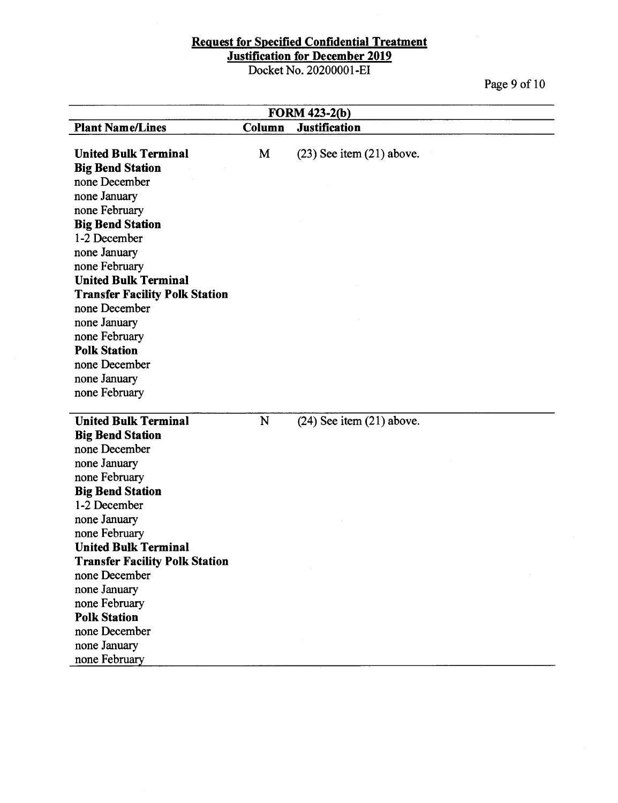Docket No. 20200001-EI

Page 9 of 10

| <b>FORM 423-2(b)</b>                  |        |                               |  |
|---------------------------------------|--------|-------------------------------|--|
| <b>Plant Name/Lines</b>               | Column | <b>Justification</b>          |  |
|                                       |        |                               |  |
| <b>United Bulk Terminal</b>           | M      | $(23)$ See item $(21)$ above. |  |
| <b>Big Bend Station</b>               |        |                               |  |
| none December                         |        |                               |  |
| none January                          |        |                               |  |
| none February                         |        |                               |  |
| <b>Big Bend Station</b>               |        |                               |  |
| 1-2 December                          |        |                               |  |
| none January                          |        |                               |  |
| none February                         |        |                               |  |
| <b>United Bulk Terminal</b>           |        |                               |  |
| <b>Transfer Facility Polk Station</b> |        |                               |  |
| none December                         |        |                               |  |
| none January                          |        |                               |  |
| none February                         |        |                               |  |
| <b>Polk Station</b>                   |        |                               |  |
| none December                         |        |                               |  |
| none January                          |        |                               |  |
| none February                         |        |                               |  |
|                                       |        |                               |  |
| <b>United Bulk Terminal</b>           | N      | $(24)$ See item $(21)$ above. |  |
| <b>Big Bend Station</b>               |        |                               |  |
| none December                         |        |                               |  |
| none January                          |        |                               |  |
| none February                         |        |                               |  |
| <b>Big Bend Station</b>               |        |                               |  |
| 1-2 December                          |        |                               |  |
| none January                          |        |                               |  |
| none February                         |        |                               |  |
| <b>United Bulk Terminal</b>           |        |                               |  |
| <b>Transfer Facility Polk Station</b> |        |                               |  |
| none December                         |        |                               |  |
| none January                          |        |                               |  |
| none February                         |        |                               |  |
| <b>Polk Station</b>                   |        |                               |  |
| none December                         |        |                               |  |
| none January                          |        |                               |  |
| none February                         |        |                               |  |